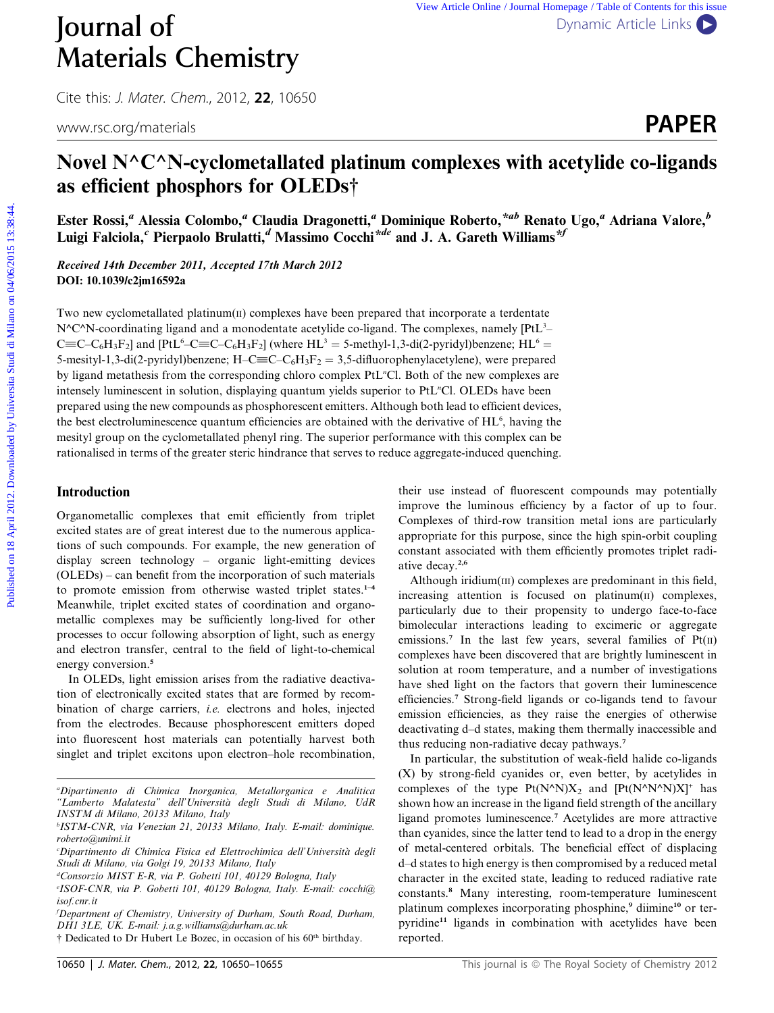Cite this: *J. Mater. Chem.*, 2012, **22**, 10650

www.rsc.org/materials **PAPER** 

# Novel  $N^{\wedge}C^{\wedge}N$ -cyclometallated platinum complexes with acetylide co-ligands as efficient phosphors for OLEDs†

Ester Rossi,<sup>a</sup> Alessia Colombo,<sup>a</sup> Claudia Dragonetti,<sup>a</sup> Dominique Roberto,<sup>\*ab</sup> Renato Ugo,<sup>a</sup> Adriana Valore,<sup>b</sup> Luigi Falciola,<sup>c</sup> Pierpaolo Brulatti,<sup>d</sup> Massimo Cocchi<sup>\*de</sup> and J. A. Gareth Williams<sup>\*f</sup>

Received 14th December 2011, Accepted 17th March 2012 DOI: 10.1039/c2jm16592a

Two new cyclometallated platinum $(n)$  complexes have been prepared that incorporate a terdentate  $N^{\wedge}C^{\wedge}N$ -coordinating ligand and a monodentate acetylide co-ligand. The complexes, namely [PtL<sup>3</sup>- $C\equiv C - C_6H_3F_2$ ] and [PtL<sup>6</sup>–C $\equiv C - C_6H_3F_2$ ] (where HL<sup>3</sup> = 5-methyl-1,3-di(2-pyridyl)benzene; HL<sup>6</sup> = 5-mesityl-1,3-di(2-pyridyl)benzene;  $H-C\equiv C-C_6H_3F_2 = 3,5$ -difluorophenylacetylene), were prepared by ligand metathesis from the corresponding chloro complex PtL"Cl. Both of the new complexes are intensely luminescent in solution, displaying quantum yields superior to PtL"Cl. OLEDs have been prepared using the new compounds as phosphorescent emitters. Although both lead to efficient devices, the best electroluminescence quantum efficiencies are obtained with the derivative of  $HL^6$ , having the mesityl group on the cyclometallated phenyl ring. The superior performance with this complex can be rationalised in terms of the greater steric hindrance that serves to reduce aggregate-induced quenching. **Published on 18 April 2012.** The published on 18 Apple 2012. Downloaded by Universitative Contents of the Universitative Contents of the Universitative Contents of the Universitative Contents of Contents of Contents of C

# Introduction

Organometallic complexes that emit efficiently from triplet excited states are of great interest due to the numerous applications of such compounds. For example, the new generation of display screen technology – organic light-emitting devices (OLEDs) – can benefit from the incorporation of such materials to promote emission from otherwise wasted triplet states.<sup>1–4</sup> Meanwhile, triplet excited states of coordination and organometallic complexes may be sufficiently long-lived for other processes to occur following absorption of light, such as energy and electron transfer, central to the field of light-to-chemical energy conversion.<sup>5</sup>

In OLEDs, light emission arises from the radiative deactivation of electronically excited states that are formed by recombination of charge carriers, i.e. electrons and holes, injected from the electrodes. Because phosphorescent emitters doped into fluorescent host materials can potentially harvest both singlet and triplet excitons upon electron–hole recombination,

f Department of Chemistry, University of Durham, South Road, Durham, DH1 3LE, UK. E-mail: j.a.g.williams@durham.ac.uk

their use instead of fluorescent compounds may potentially improve the luminous efficiency by a factor of up to four. Complexes of third-row transition metal ions are particularly appropriate for this purpose, since the high spin-orbit coupling constant associated with them efficiently promotes triplet radiative decay.2,6

Although iridium(III) complexes are predominant in this field, increasing attention is focused on platinum $(I)$  complexes, particularly due to their propensity to undergo face-to-face bimolecular interactions leading to excimeric or aggregate emissions.<sup>7</sup> In the last few years, several families of  $Pt(II)$ complexes have been discovered that are brightly luminescent in solution at room temperature, and a number of investigations have shed light on the factors that govern their luminescence efficiencies.<sup>7</sup> Strong-field ligands or co-ligands tend to favour emission efficiencies, as they raise the energies of otherwise deactivating d–d states, making them thermally inaccessible and thus reducing non-radiative decay pathways.<sup>7</sup>

In particular, the substitution of weak-field halide co-ligands (X) by strong-field cyanides or, even better, by acetylides in complexes of the type  $Pt(N^N)X_2$  and  $[Pt(N^NN^N)X]^+$  has shown how an increase in the ligand field strength of the ancillary ligand promotes luminescence.<sup>7</sup> Acetylides are more attractive than cyanides, since the latter tend to lead to a drop in the energy of metal-centered orbitals. The beneficial effect of displacing d–d states to high energy is then compromised by a reduced metal character in the excited state, leading to reduced radiative rate constants.<sup>8</sup> Many interesting, room-temperature luminescent platinum complexes incorporating phosphine,<sup>9</sup> diimine<sup>10</sup> or terpyridine<sup>11</sup> ligands in combination with acetylides have been reported.

a Dipartimento di Chimica Inorganica, Metallorganica e Analitica ''Lamberto Malatesta'' dell'Universita degli Studi di Milano, UdR INSTM di Milano, 20133 Milano, Italy

b ISTM-CNR, via Venezian 21, 20133 Milano, Italy. E-mail: dominique. roberto@unimi.it

c Dipartimento di Chimica Fisica ed Elettrochimica dell'Universita degli Studi di Milano, via Golgi 19, 20133 Milano, Italy

d Consorzio MIST E-R, via P. Gobetti 101, 40129 Bologna, Italy

e ISOF-CNR, via P. Gobetti 101, 40129 Bologna, Italy. E-mail: cocchi@ isof.cnr.it

<sup>&</sup>lt;sup>†</sup> Dedicated to Dr Hubert Le Bozec, in occasion of his 60<sup>th</sup> birthday.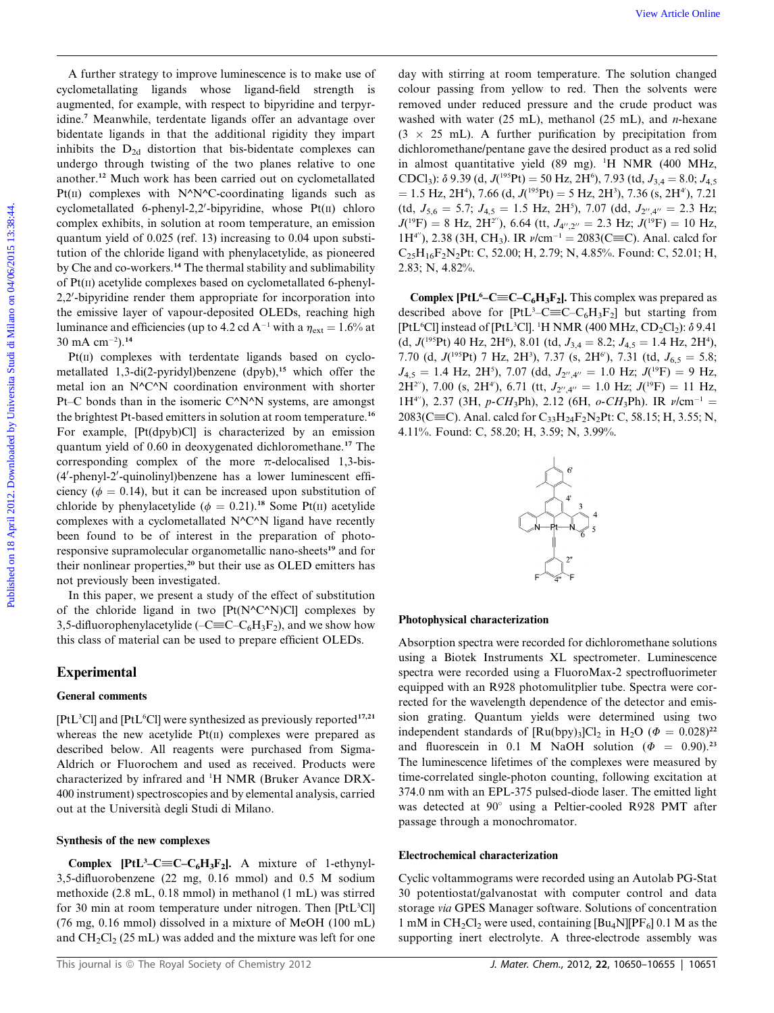A further strategy to improve luminescence is to make use of cyclometallating ligands whose ligand-field strength is augmented, for example, with respect to bipyridine and terpyridine.<sup>7</sup> Meanwhile, terdentate ligands offer an advantage over bidentate ligands in that the additional rigidity they impart inhibits the  $D_{2d}$  distortion that bis-bidentate complexes can undergo through twisting of the two planes relative to one another.<sup>12</sup> Much work has been carried out on cyclometallated Pt $(n)$  complexes with N^N^C-coordinating ligands such as cyclometallated 6-phenyl-2,2'-bipyridine, whose  $Pt(II)$  chloro complex exhibits, in solution at room temperature, an emission quantum yield of 0.025 (ref. 13) increasing to 0.04 upon substitution of the chloride ligand with phenylacetylide, as pioneered by Che and co-workers.<sup>14</sup> The thermal stability and sublimability of Pt(II) acetylide complexes based on cyclometallated 6-phenyl-2,2'-bipyridine render them appropriate for incorporation into the emissive layer of vapour-deposited OLEDs, reaching high luminance and efficiencies (up to 4.2 cd A<sup>-1</sup> with a  $\eta_{\text{ext}} = 1.6\%$  at  $30 \text{ mA cm}^{-2}$ ).<sup>14</sup> View Article entainegy to irreprese burished on the term of they with string at reservation. The continue of the continue of the continue of the continue of the continue of the continue of the continue of the continue of

Pt(II) complexes with terdentate ligands based on cyclometallated 1,3-di(2-pyridyl)benzene  $(dpyb)$ ,<sup>15</sup> which offer the metal ion an N^C^N coordination environment with shorter Pt–C bonds than in the isomeric C^N^N systems, are amongst the brightest Pt-based emitters in solution at room temperature.<sup>16</sup> For example, [Pt(dpyb)Cl] is characterized by an emission quantum yield of 0.60 in deoxygenated dichloromethane.<sup>17</sup> The corresponding complex of the more  $\pi$ -delocalised 1,3-bis-(4'-phenyl-2'-quinolinyl)benzene has a lower luminescent efficiency ( $\phi = 0.14$ ), but it can be increased upon substitution of chloride by phenylacetylide ( $\phi = 0.21$ ).<sup>18</sup> Some Pt(II) acetylide complexes with a cyclometallated N^C^N ligand have recently been found to be of interest in the preparation of photoresponsive supramolecular organometallic nano-sheets<sup>19</sup> and for their nonlinear properties,<sup>20</sup> but their use as OLED emitters has not previously been investigated.

In this paper, we present a study of the effect of substitution of the chloride ligand in two  $[Pt(N^{\wedge}C^{\wedge}N)Cl]$  complexes by 3,5-difluorophenylacetylide ( $-C\equiv C-C_6H_3F_2$ ), and we show how this class of material can be used to prepare efficient OLEDs.

# Experimental

## General comments

[PtL<sup>3</sup>Cl] and [PtL<sup>6</sup>Cl] were synthesized as previously reported<sup>17,21</sup> whereas the new acetylide  $Pt(II)$  complexes were prepared as described below. All reagents were purchased from Sigma-Aldrich or Fluorochem and used as received. Products were characterized by infrared and <sup>1</sup>H NMR (Bruker Avance DRX-400 instrument) spectroscopies and by elemental analysis, carried out at the Universita degli Studi di Milano.

#### Synthesis of the new complexes

**Complex [PtL<sup>3</sup>-C=C-C<sub>6</sub>H<sub>3</sub>F<sub>2</sub>]. A mixture of 1-ethynyl-**3,5-difluorobenzene (22 mg, 0.16 mmol) and 0.5 M sodium methoxide (2.8 mL, 0.18 mmol) in methanol (1 mL) was stirred for 30 min at room temperature under nitrogen. Then [PtL<sup>3</sup>Cl] (76 mg, 0.16 mmol) dissolved in a mixture of MeOH (100 mL) and  $CH_2Cl_2$  (25 mL) was added and the mixture was left for one

day with stirring at room temperature. The solution changed colour passing from yellow to red. Then the solvents were removed under reduced pressure and the crude product was washed with water (25 mL), methanol (25 mL), and *n*-hexane  $(3 \times 25 \text{ mL})$ . A further purification by precipitation from dichloromethane/pentane gave the desired product as a red solid in almost quantitative yield (89 mg). <sup>1</sup> H NMR (400 MHz, CDCl<sub>3</sub>):  $\delta$  9.39 (d,  $J(^{195}Pt) = 50$  Hz, 2H<sup>6</sup>), 7.93 (td,  $J_{3,4} = 8.0$ ;  $J_{4,5}$  $= 1.5$  Hz, 2H<sup>4</sup>), 7.66 (d,  $J(^{195}Pt) = 5$  Hz, 2H<sup>3</sup>), 7.36 (s, 2H<sup>4</sup>), 7.21  $(\text{td}, J_{5,6} = 5.7; J_{4,5} = 1.5 \text{ Hz}, 2\text{H}^5), 7.07 \text{ (dd, } J_{2'',4''} = 2.3 \text{ Hz};$  $J(^{19}F) = 8$  Hz, 2H<sup>2''</sup>), 6.64 (tt,  $J_{4'',2''} = 2.3$  Hz;  $J(^{19}F) = 10$  Hz, 1H<sup>4"</sup>), 2.38 (3H, CH<sub>3</sub>). IR  $\nu$ /cm<sup>-1</sup> = 2083(C=C). Anal. calcd for  $C_{25}H_{16}F_{2}N_{2}Pt$ : C, 52.00; H, 2.79; N, 4.85%. Found: C, 52.01; H, 2.83; N, 4.82%.

**Complex [PtL<sup>6</sup>–C** $\equiv$ **C–C<sub>6</sub>H<sub>3</sub>F<sub>2</sub>].** This complex was prepared as described above for  $[PtL<sup>3</sup>-C\equiv C-C<sub>6</sub>H<sub>3</sub>F<sub>2</sub>]$  but starting from [PtL<sup>6</sup>Cl] instead of [PtL<sup>3</sup>Cl]. <sup>1</sup>H NMR (400 MHz, CD<sub>2</sub>Cl<sub>2</sub>):  $\delta$  9.41 (d,  $J(^{195}Pt)$  40 Hz, 2H<sup>6</sup>), 8.01 (td,  $J_{3,4} = 8.2$ ;  $J_{4,5} = 1.4$  Hz, 2H<sup>4</sup>), 7.70 (d,  $J(^{195}Pt)$  7 Hz, 2H<sup>3</sup>), 7.37 (s, 2H<sup>6</sup>), 7.31 (td,  $J_{6,5} = 5.8$ ;  $J_{4,5} = 1.4$  Hz, 2H<sup>5</sup>), 7.07 (dd,  $J_{2'',4''} = 1.0$  Hz;  $J(^{19}F) = 9$  Hz,  $2H^{2''}$ ), 7.00 (s,  $2H^{4'}$ ), 6.71 (tt,  $J_{2'',4''} = 1.0$  Hz;  $J(^{19}F) = 11$  Hz, 1H<sup>4"</sup>), 2.37 (3H, p-CH<sub>3</sub>Ph), 2.12 (6H, o-CH<sub>3</sub>Ph). IR  $\nu$ /cm<sup>-1</sup> = 2083(C $\equiv$ C). Anal. calcd for C<sub>33</sub>H<sub>24</sub>F<sub>2</sub>N<sub>2</sub>Pt: C, 58.15; H, 3.55; N, 4.11%. Found: C, 58.20; H, 3.59; N, 3.99%.



#### Photophysical characterization

Absorption spectra were recorded for dichloromethane solutions using a Biotek Instruments XL spectrometer. Luminescence spectra were recorded using a FluoroMax-2 spectrofluorimeter equipped with an R928 photomulitplier tube. Spectra were corrected for the wavelength dependence of the detector and emission grating. Quantum yields were determined using two independent standards of  $\text{[Ru(bpy)}_3\text{]Cl}_2$  in H<sub>2</sub>O ( $\Phi = 0.028$ )<sup>22</sup> and fluorescein in 0.1 M NaOH solution ( $\Phi = 0.90$ ).<sup>23</sup> The luminescence lifetimes of the complexes were measured by time-correlated single-photon counting, following excitation at 374.0 nm with an EPL-375 pulsed-diode laser. The emitted light was detected at 90° using a Peltier-cooled R928 PMT after passage through a monochromator.

#### Electrochemical characterization

Cyclic voltammograms were recorded using an Autolab PG-Stat 30 potentiostat/galvanostat with computer control and data storage via GPES Manager software. Solutions of concentration 1 mM in  $CH_2Cl_2$  were used, containing  $[Bu_4N][PF_6]$  0.1 M as the supporting inert electrolyte. A three-electrode assembly was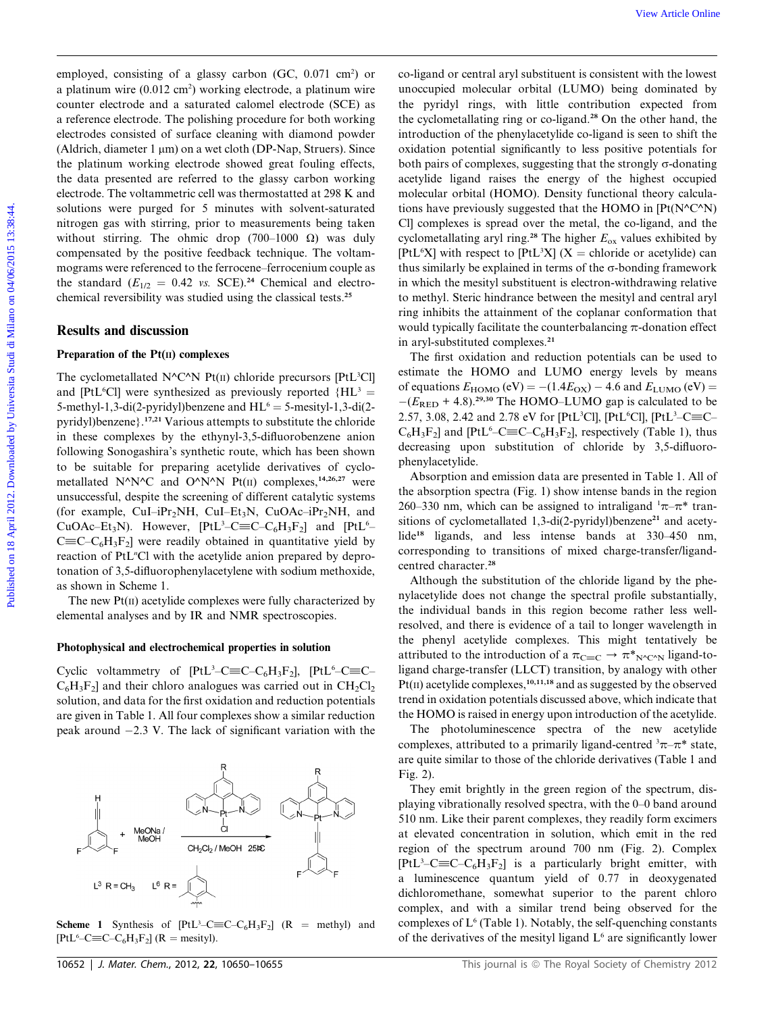employed, consisting of a glassy carbon (GC, 0.071 cm<sup>2</sup>) or a platinum wire (0.012 cm<sup>2</sup>) working electrode, a platinum wire counter electrode and a saturated calomel electrode (SCE) as a reference electrode. The polishing procedure for both working electrodes consisted of surface cleaning with diamond powder (Aldrich, diameter  $1 \mu m$ ) on a wet cloth (DP-Nap, Struers). Since the platinum working electrode showed great fouling effects, the data presented are referred to the glassy carbon working electrode. The voltammetric cell was thermostatted at 298 K and solutions were purged for 5 minutes with solvent-saturated nitrogen gas with stirring, prior to measurements being taken without stirring. The ohmic drop (700–1000  $\Omega$ ) was duly compensated by the positive feedback technique. The voltammograms were referenced to the ferrocene–ferrocenium couple as the standard ( $E_{1/2} = 0.42$  vs. SCE).<sup>24</sup> Chemical and electrochemical reversibility was studied using the classical tests.<sup>25</sup>

#### Results and discussion

#### Preparation of the Pt(II) complexes

The cyclometallated  $N^{\wedge}C^{\wedge}N$  Pt(II) chloride precursors [PtL<sup>3</sup>Cl] and [PtL<sup>6</sup>Cl] were synthesized as previously reported  ${H L<sup>3</sup>}$  = 5-methyl-1,3-di(2-pyridyl)benzene and  $HL^6 = 5$ -mesityl-1,3-di(2pyridyl)benzene}.17,21 Various attempts to substitute the chloride in these complexes by the ethynyl-3,5-difluorobenzene anion following Sonogashira's synthetic route, which has been shown to be suitable for preparing acetylide derivatives of cyclometallated N^N^C and O^N^N Pt(II) complexes,<sup>14,26,27</sup> were unsuccessful, despite the screening of different catalytic systems (for example, CuI–iPr<sub>2</sub>NH, CuI–Et<sub>3</sub>N, CuOAc–iPr<sub>2</sub>NH, and CuOAc–Et<sub>3</sub>N). However,  $[PtL<sup>3</sup>-C \equiv C-C<sub>6</sub>H<sub>3</sub>F<sub>2</sub>]$  and  $[PtL<sup>6</sup> C\equiv C-C_6H_3F_2$ ] were readily obtained in quantitative yield by reaction of PtL<sup>"</sup>Cl with the acetylide anion prepared by deprotonation of 3,5-difluorophenylacetylene with sodium methoxide, as shown in Scheme 1.

The new Pt(II) acetylide complexes were fully characterized by elemental analyses and by IR and NMR spectroscopies.

#### Photophysical and electrochemical properties in solution

Cyclic voltammetry of  $[PtL^3-C\equiv C-C_6H_3F_2]$ ,  $[PtL^6-C\equiv C C_6H_3F_2$ ] and their chloro analogues was carried out in  $CH_2Cl_2$ solution, and data for the first oxidation and reduction potentials are given in Table 1. All four complexes show a similar reduction peak around  $-2.3$  V. The lack of significant variation with the

**Scheme 1** Synthesis of  $[PtL<sup>3</sup>-C \equiv C-C<sub>6</sub>H<sub>3</sub>F<sub>2</sub>]$  (R = methyl) and  $[PtL<sup>6</sup>-C \equiv C-C<sub>6</sub>H<sub>3</sub>F<sub>2</sub>]$  (R = mesityl).

co-ligand or central aryl substituent is consistent with the lowest unoccupied molecular orbital (LUMO) being dominated by the pyridyl rings, with little contribution expected from the cyclometallating ring or co-ligand.<sup>28</sup> On the other hand, the introduction of the phenylacetylide co-ligand is seen to shift the oxidation potential significantly to less positive potentials for both pairs of complexes, suggesting that the strongly  $\sigma$ -donating acetylide ligand raises the energy of the highest occupied molecular orbital (HOMO). Density functional theory calculations have previously suggested that the HOMO in  $[Pt(N^{\wedge}C^{\wedge}N)]$ Cl] complexes is spread over the metal, the co-ligand, and the cyclometallating aryl ring.<sup>28</sup> The higher  $E_{ox}$  values exhibited by [PtL<sup>6</sup>X] with respect to [PtL<sup>3</sup>X] (X = chloride or acetylide) can thus similarly be explained in terms of the  $\sigma$ -bonding framework in which the mesityl substituent is electron-withdrawing relative to methyl. Steric hindrance between the mesityl and central aryl ring inhibits the attainment of the coplanar conformation that would typically facilitate the counterbalancing  $\pi$ -donation effect in aryl-substituted complexes.<sup>21</sup> where the endotropic of a glasty circle ( $\Gamma_6$ ) ( $\Gamma_7$ ) ( $\Gamma_8$ ) ( $\Gamma_8$ ) ( $\Gamma_9$ ) ( $\Gamma_9$ ) ( $\Gamma_8$ ) ( $\Gamma_9$ ) ( $\Gamma_9$ ) ( $\Gamma_9$ ) ( $\Gamma_9$ ) ( $\Gamma_9$ ) ( $\Gamma_9$ ) ( $\Gamma_9$ ) ( $\Gamma_9$ ) ( $\Gamma_9$ ) ( $\Gamma_9$ ) ( $\Gamma_9$ ) ( $\Gamma_9$ ) ( $\Gamma_9$ ) (

The first oxidation and reduction potentials can be used to estimate the HOMO and LUMO energy levels by means of equations  $E_{\text{HOMO}}$  (eV) = -(1.4 $E_{\text{OX}}$ ) – 4.6 and  $E_{\text{LUMO}}$  (eV) =  $-(E_{\text{RED}} + 4.8)^{29,30}$  The HOMO–LUMO gap is calculated to be 2.57, 3.08, 2.42 and 2.78 eV for [PtL<sup>3</sup>Cl], [PtL<sup>6</sup>Cl], [PtL<sup>3</sup>-C=C- $C_6H_3F_2$ ] and [PtL<sup>6</sup>–C≡C–C<sub>6</sub>H<sub>3</sub>F<sub>2</sub>], respectively (Table 1), thus decreasing upon substitution of chloride by 3,5-difluorophenylacetylide.

Absorption and emission data are presented in Table 1. All of the absorption spectra (Fig. 1) show intense bands in the region 260–330 nm, which can be assigned to intraligand  $\pi-\pi^*$  transitions of cyclometallated 1,3-di(2-pyridyl)benzene<sup>21</sup> and acetylide<sup>18</sup> ligands, and less intense bands at 330–450 nm, corresponding to transitions of mixed charge-transfer/ligandcentred character.<sup>28</sup>

Although the substitution of the chloride ligand by the phenylacetylide does not change the spectral profile substantially, the individual bands in this region become rather less wellresolved, and there is evidence of a tail to longer wavelength in the phenyl acetylide complexes. This might tentatively be attributed to the introduction of a  $\pi_{C\equiv C} \rightarrow \pi^*_{N^cC^N}$  ligand-toligand charge-transfer (LLCT) transition, by analogy with other  $Pf(\Pi)$  acetylide complexes,  $10,11,18$  and as suggested by the observed trend in oxidation potentials discussed above, which indicate that the HOMO is raised in energy upon introduction of the acetylide.

The photoluminescence spectra of the new acetylide complexes, attributed to a primarily ligand-centred  $\pi-\pi^*$  state, are quite similar to those of the chloride derivatives (Table 1 and Fig. 2).

They emit brightly in the green region of the spectrum, displaying vibrationally resolved spectra, with the 0–0 band around 510 nm. Like their parent complexes, they readily form excimers at elevated concentration in solution, which emit in the red region of the spectrum around 700 nm (Fig. 2). Complex  $[PtL<sup>3</sup>-C \equiv C-C<sub>6</sub>H<sub>3</sub>F<sub>2</sub>]$  is a particularly bright emitter, with a luminescence quantum yield of 0.77 in deoxygenated dichloromethane, somewhat superior to the parent chloro complex, and with a similar trend being observed for the complexes of  $L^6$  (Table 1). Notably, the self-quenching constants of the derivatives of the mesityl ligand  $L<sup>6</sup>$  are significantly lower

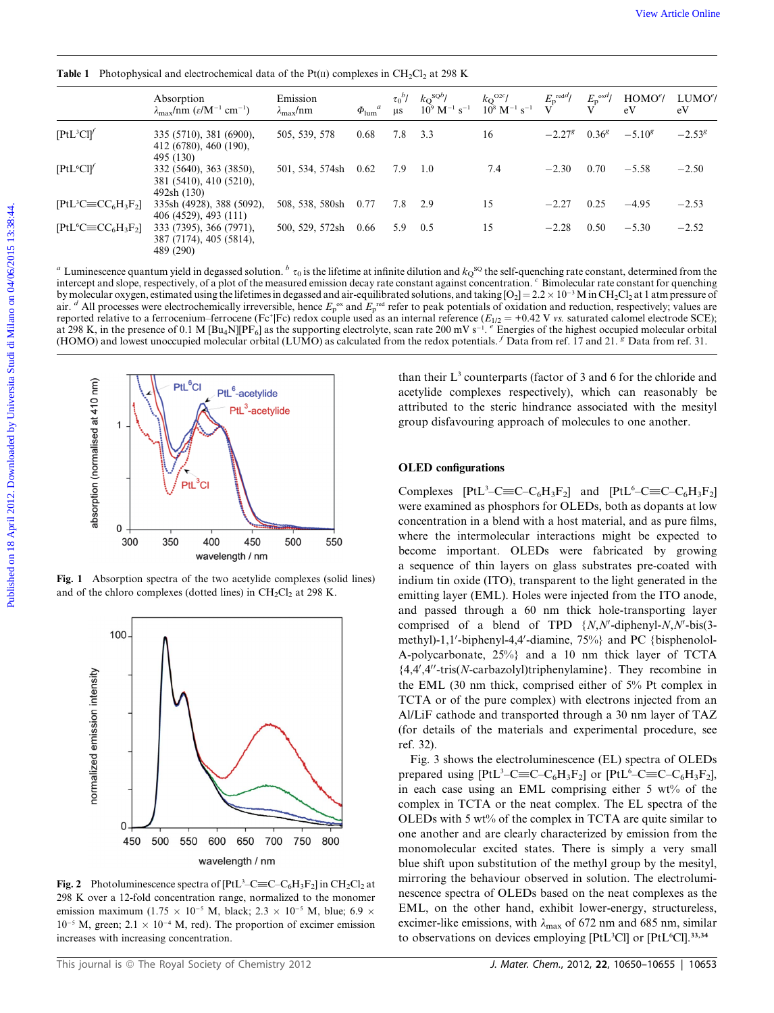**Table 1** Photophysical and electrochemical data of the Pt(II) complexes in CH<sub>2</sub>Cl<sub>2</sub> at 298 K

| [PtL <sup>3</sup> Cl <sup>f</sup> ]<br>[PtL <sup>6</sup> Cl]<br>[ $PtL$ <sup>3</sup> $C \equiv CC_6H_3F_2$ ]<br>$[PtL6C \equiv CC6H3F2]$ | 335 (5710), 381 (6900),<br>412 (6780), 460 (190),<br>495 (130)<br>332 (5640), 363 (3850),<br>381 (5410), 410 (5210),<br>492sh (130)<br>335sh (4928), 388 (5092),<br>406 (4529), 493 (111)<br>333 (7395), 366 (7971),<br>387 (7174), 405 (5814), | 505, 539, 578<br>501, 534, 574sh<br>508, 538, 580sh | 0.68<br>0.62 | 7.8<br>7.9 | 3.3<br>1.0                                                                                                                                                                                                                                                                                                                         | 16  | $-2.27^{g}$ | $0.36^g$ | $-5.10^{g}$ | $-2.53^{g}$ |
|------------------------------------------------------------------------------------------------------------------------------------------|-------------------------------------------------------------------------------------------------------------------------------------------------------------------------------------------------------------------------------------------------|-----------------------------------------------------|--------------|------------|------------------------------------------------------------------------------------------------------------------------------------------------------------------------------------------------------------------------------------------------------------------------------------------------------------------------------------|-----|-------------|----------|-------------|-------------|
|                                                                                                                                          |                                                                                                                                                                                                                                                 |                                                     |              |            |                                                                                                                                                                                                                                                                                                                                    |     |             |          |             |             |
|                                                                                                                                          |                                                                                                                                                                                                                                                 |                                                     |              |            |                                                                                                                                                                                                                                                                                                                                    | 7.4 | $-2.30$     | 0.70     | $-5.58$     | $-2.50$     |
|                                                                                                                                          |                                                                                                                                                                                                                                                 |                                                     | 0.77         | 7.8        | 2.9                                                                                                                                                                                                                                                                                                                                | 15  | $-2.27$     | 0.25     | $-4.95$     | $-2.53$     |
|                                                                                                                                          | 489 (290)                                                                                                                                                                                                                                       | 500, 529, 572sh                                     | 0.66         | 5.9        | 0.5                                                                                                                                                                                                                                                                                                                                | 15  | $-2.28$     | 0.50     | $-5.30$     | $-2.52$     |
| absorption (normalised at 410 nm)<br>1                                                                                                   | <b>PtL</b> <sup>6</sup> CI<br>PtL <sup>6</sup> -acetylide<br>PtL <sup>3</sup> -acetylide                                                                                                                                                        |                                                     |              |            | than their $L3$ counterparts (factor of 3 and 6 for the chloride and<br>acetylide complexes respectively), which can reasonably be<br>attributed to the steric hindrance associated with the mesityl<br>group disfavouring approach of molecules to one another.                                                                   |     |             |          |             |             |
|                                                                                                                                          |                                                                                                                                                                                                                                                 |                                                     |              |            | <b>OLED</b> configurations                                                                                                                                                                                                                                                                                                         |     |             |          |             |             |
| 0<br>300                                                                                                                                 | PtL <sup>3</sup> Cl<br>400<br>450<br>350<br>wavelength / nm                                                                                                                                                                                     | 500<br>550                                          |              |            | Complexes $[PtL^3-C\equiv C-C_6H_3F_2]$ and $[PtL^6-C\equiv C-C_6H_3F_2]$<br>were examined as phosphors for OLEDs, both as dopants at low<br>concentration in a blend with a host material, and as pure films,<br>where the intermolecular interactions might be expected to<br>become important. OLEDs were fabricated by growing |     |             |          |             |             |
|                                                                                                                                          | Fig. 1 Absorption spectra of the two acetylide complexes (solid lines)<br>and of the chloro complexes (dotted lines) in $CH2Cl2$ at 298 K.                                                                                                      |                                                     |              |            | a sequence of thin layers on glass substrates pre-coated with<br>indium tin oxide (ITO), transparent to the light generated in the<br>emitting layer (EML). Holes were injected from the ITO anode,                                                                                                                                |     |             |          |             |             |



Fig. 1 Absorption spectra of the two acetylide complexes (solid lines) and of the chloro complexes (dotted lines) in  $CH_2Cl_2$  at 298 K.



**Fig. 2** Photoluminescence spectra of  $[PtL^3 - C \equiv C - C_6H_3F_2]$  in  $CH_2Cl_2$  at 298 K over a 12-fold concentration range, normalized to the monomer emission maximum (1.75  $\times$  10<sup>-5</sup> M, black; 2.3  $\times$  10<sup>-5</sup> M, blue; 6.9  $\times$  $10^{-5}$  M, green;  $2.1 \times 10^{-4}$  M, red). The proportion of excimer emission increases with increasing concentration.

#### OLED configurations

Complexes  $[PtL<sup>3</sup>-C \equiv C-C_6H_3F_2]$  and  $[PtL<sup>6</sup>-C \equiv C-C_6H_3F_2]$ were examined as phosphors for OLEDs, both as dopants at low concentration in a blend with a host material, and as pure films, where the intermolecular interactions might be expected to become important. OLEDs were fabricated by growing a sequence of thin layers on glass substrates pre-coated with indium tin oxide (ITO), transparent to the light generated in the emitting layer (EML). Holes were injected from the ITO anode, and passed through a 60 nm thick hole-transporting layer comprised of a blend of TPD  $\{N, N'\text{-diphenyl-}N, N'\text{-bis}(3-\epsilon)\}$ methyl)-1,1'-biphenyl-4,4'-diamine,  $75\%$  and PC {bisphenolol-A-polycarbonate, 25%} and a 10 nm thick layer of TCTA  ${4,4',4''$ -tris(N-carbazolyl)triphenylamine}. They recombine in the EML (30 nm thick, comprised either of 5% Pt complex in TCTA or of the pure complex) with electrons injected from an Al/LiF cathode and transported through a 30 nm layer of TAZ (for details of the materials and experimental procedure, see ref. 32).

Fig. 3 shows the electroluminescence (EL) spectra of OLEDs prepared using  $[PtL<sup>3</sup>-C \equiv C-C_6H_3F_2]$  or  $[PtL<sup>6</sup>-C \equiv C-C_6H_3F_2]$ , in each case using an EML comprising either 5 wt% of the complex in TCTA or the neat complex. The EL spectra of the OLEDs with 5 wt% of the complex in TCTA are quite similar to one another and are clearly characterized by emission from the monomolecular excited states. There is simply a very small blue shift upon substitution of the methyl group by the mesityl, mirroring the behaviour observed in solution. The electroluminescence spectra of OLEDs based on the neat complexes as the EML, on the other hand, exhibit lower-energy, structureless, excimer-like emissions, with  $\lambda_{\text{max}}$  of 672 nm and 685 nm, similar to observations on devices employing [PtL<sup>3</sup>Cl] or [PtL<sup>6</sup>Cl].<sup>33,34</sup>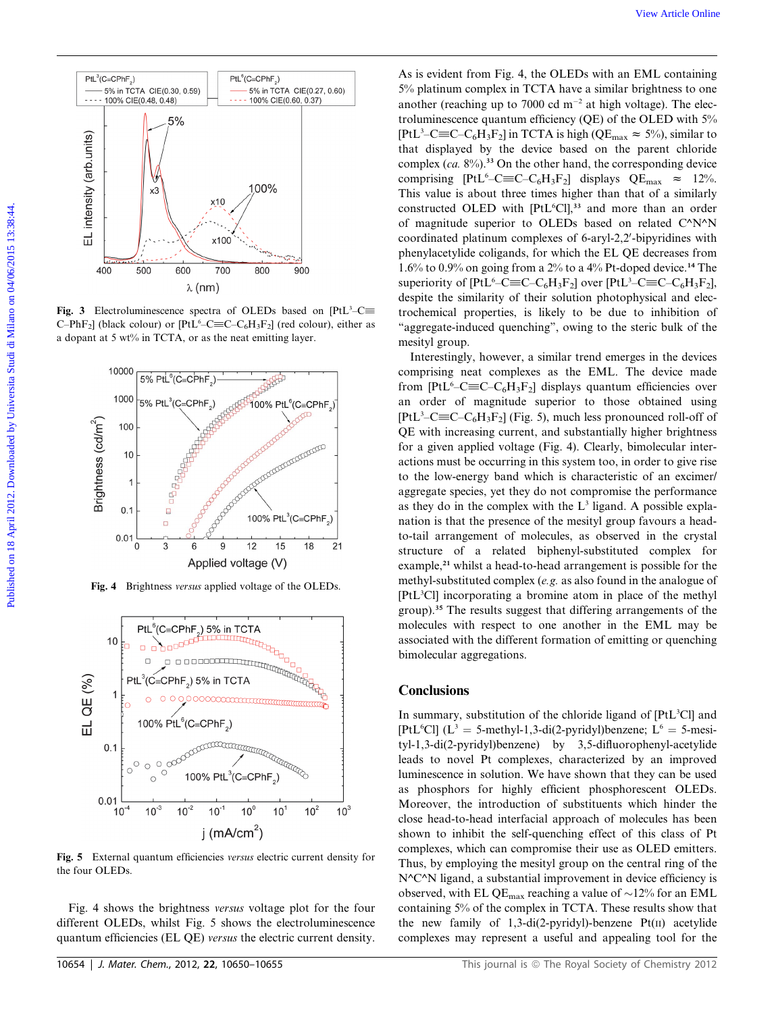

Fig. 3 Electroluminescence spectra of OLEDs based on  $[PtL<sup>3</sup>-C\equiv$ C-PhF<sub>2</sub>] (black colour) or [PtL<sup>6</sup>-C $\equiv$ C-C<sub>6</sub>H<sub>3</sub>F<sub>2</sub>] (red colour), either as a dopant at 5 wt% in TCTA, or as the neat emitting layer.



Fig. 4 Brightness versus applied voltage of the OLEDs.



Fig. 5 External quantum efficiencies versus electric current density for the four OLEDs.

Fig. 4 shows the brightness versus voltage plot for the four different OLEDs, whilst Fig. 5 shows the electroluminescence quantum efficiencies (EL QE) versus the electric current density.

As is evident from Fig. 4, the OLEDs with an EML containing 5% platinum complex in TCTA have a similar brightness to one another (reaching up to 7000 cd  $m^{-2}$  at high voltage). The electroluminescence quantum efficiency (QE) of the OLED with 5% [PtL<sup>3</sup>–C≡C–C<sub>6</sub>H<sub>3</sub>F<sub>2</sub>] in TCTA is high (QE<sub>max</sub>  $\approx$  5%), similar to that displayed by the device based on the parent chloride complex ( $ca. 8\%$ ).<sup>33</sup> On the other hand, the corresponding device comprising  $[PtL^6$ -C $\equiv$ C-C<sub>6</sub>H<sub>3</sub>F<sub>2</sub>] displays QE<sub>max</sub>  $\approx$  12%. This value is about three times higher than that of a similarly constructed OLED with [PtL<sup>6</sup>Cl],<sup>33</sup> and more than an order of magnitude superior to OLEDs based on related C^N^N coordinated platinum complexes of 6-aryl-2,2'-bipyridines with phenylacetylide coligands, for which the EL QE decreases from 1.6% to 0.9% on going from a 2% to a 4% Pt-doped device.<sup>14</sup> The superiority of  $[PtL<sup>6</sup>-C \equiv C-C_6H_3F_2]$  over  $[PtL<sup>3</sup>-C \equiv C-C_6H_3F_2]$ , despite the similarity of their solution photophysical and electrochemical properties, is likely to be due to inhibition of "aggregate-induced quenching", owing to the steric bulk of the mesityl group. Published on 18 April 2013. The action of CH is the content of Distribution of CH is the content of Distribution of CH is the content of Distribution of CH is the content of Distribution of CH is the content of Distribu

Interestingly, however, a similar trend emerges in the devices comprising neat complexes as the EML. The device made from [PtL<sup>6</sup>-C $\equiv$ C-C<sub>6</sub>H<sub>3</sub>F<sub>2</sub>] displays quantum efficiencies over an order of magnitude superior to those obtained using [PtL<sup>3</sup>–C $\equiv$ C–C<sub>6</sub>H<sub>3</sub>F<sub>2</sub>] (Fig. 5), much less pronounced roll-off of QE with increasing current, and substantially higher brightness for a given applied voltage (Fig. 4). Clearly, bimolecular interactions must be occurring in this system too, in order to give rise to the low-energy band which is characteristic of an excimer/ aggregate species, yet they do not compromise the performance as they do in the complex with the  $L<sup>3</sup>$  ligand. A possible explanation is that the presence of the mesityl group favours a headto-tail arrangement of molecules, as observed in the crystal structure of a related biphenyl-substituted complex for example,<sup>21</sup> whilst a head-to-head arrangement is possible for the methyl-substituted complex (e.g. as also found in the analogue of [PtL3 Cl] incorporating a bromine atom in place of the methyl group).<sup>35</sup> The results suggest that differing arrangements of the molecules with respect to one another in the EML may be associated with the different formation of emitting or quenching bimolecular aggregations.

#### **Conclusions**

In summary, substitution of the chloride ligand of [PtL<sup>3</sup>Cl] and [PtL<sup>6</sup>Cl] (L<sup>3</sup> = 5-methyl-1,3-di(2-pyridyl)benzene; L<sup>6</sup> = 5-mesityl-1,3-di(2-pyridyl)benzene) by 3,5-difluorophenyl-acetylide leads to novel Pt complexes, characterized by an improved luminescence in solution. We have shown that they can be used as phosphors for highly efficient phosphorescent OLEDs. Moreover, the introduction of substituents which hinder the close head-to-head interfacial approach of molecules has been shown to inhibit the self-quenching effect of this class of Pt complexes, which can compromise their use as OLED emitters. Thus, by employing the mesityl group on the central ring of the N^C^N ligand, a substantial improvement in device efficiency is observed, with EL QE<sub>max</sub> reaching a value of  $\sim$ 12% for an EML containing 5% of the complex in TCTA. These results show that the new family of  $1,3$ -di(2-pyridyl)-benzene Pt(II) acetylide complexes may represent a useful and appealing tool for the